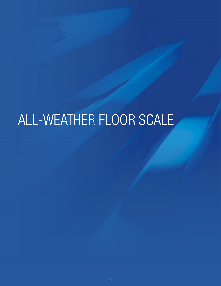# ALL-WEATHER FLOOR SCALE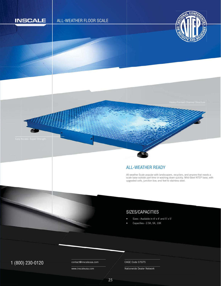

### ALL-WEATHER READY A

All-weather Scale popular with landscapers, recyclers, and anyone that needs a scale base outside part time or washing down quickly. Mild-Steel NTEP base, with upgraded cells, junction box, and feet to stainless steel. u A s

# SIZES/CAPACITIES

- Sizes Available in 4' x 4' and 5' x 5'
- Capacities 2.5K, 5K, 10K

# 1 (800) 230-0120 Contact@inscaleusa.com CAGE Code 07GT5

contact@inscaleusa.com

www.inscaleusa.com

Nationwide Dealer Network

25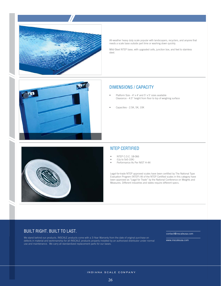

All-weather heavy duty scale popular with landscapers, recyclers, and anyone that needs a scale base outside part time or washing down quickly.

Mild-Steel NTEP base, with upgraded cells, junction box, and feet to stainless steel.





#### DIMENSIONS / CAPACITY

- Platform Size 4' x 4' and 5' x 5' sizes available Clearance - 4.5" height from floor to top of weighing surface
- Capacities 2.5K, 5K, 10K

#### NTEP CERTIFIED

- NTEP C.O.C. 18-066
- (Up to 5x5-10K)
- Performance As Per NIST H-44

Legal-for-trade NTEP approved scales have been certified by The National Type Evaluation Progrem (NTEP) All of the NTEP Certified scales in this category have been approved as "Legal for Trade" by the National Conference on Weights and Measures. Different industries and states require different specs.

#### BUILT RIGHT. BUILT TO LAST.

We stand behind our products. INSCALE products come with a 3-Year Warranty from the date of original purchase on defects in material and workmanship for all INSCALE products properly installed by an authorized distributor under normal use and maintenance. We carry all standardized replacement parts for our bases.

contact@inscaleusa.com

www.inscaleusa.com

INDIANA SCALE COMPANY